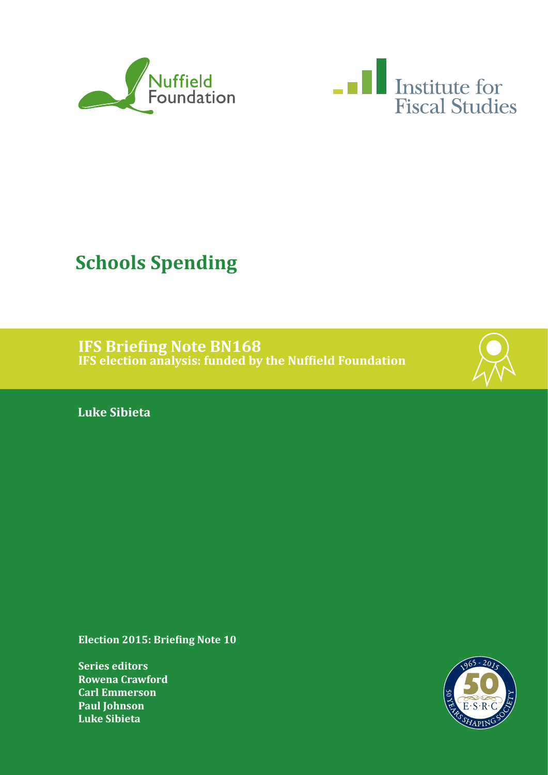



# **Schools Spending**

**IFS Briefing Note BN168 IFS election analysis: funded by the Nuffield Foundation**



**Luke Sibieta**

**Election 2015: Briefing Note 10**

**Series editors Rowena Crawford Carl Emmerson Paul Johnson Luke Sibieta**

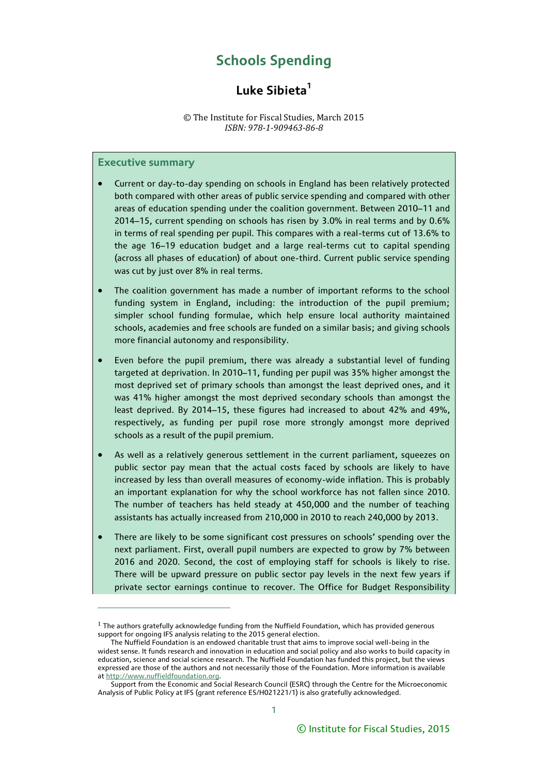## **Schools Spending**

## **Luke Sibieta<sup>1</sup>**

#### © The Institute for Fiscal Studies, March 2015 *ISBN: 978-1-909463-86-8*

#### **Executive summary**

- Current or day-to-day spending on schools in England has been relatively protected both compared with other areas of public service spending and compared with other areas of education spending under the coalition government. Between 2010–11 and 2014–15, current spending on schools has risen by 3.0% in real terms and by 0.6% in terms of real spending per pupil. This compares with a real-terms cut of 13.6% to the age 16–19 education budget and a large real-terms cut to capital spending (across all phases of education) of about one-third. Current public service spending was cut by just over 8% in real terms.
- The coalition government has made a number of important reforms to the school funding system in England, including: the introduction of the pupil premium; simpler school funding formulae, which help ensure local authority maintained schools, academies and free schools are funded on a similar basis; and giving schools more financial autonomy and responsibility.
- Even before the pupil premium, there was already a substantial level of funding targeted at deprivation. In 2010–11, funding per pupil was 35% higher amongst the most deprived set of primary schools than amongst the least deprived ones, and it was 41% higher amongst the most deprived secondary schools than amongst the least deprived. By 2014–15, these figures had increased to about 42% and 49%, respectively, as funding per pupil rose more strongly amongst more deprived schools as a result of the pupil premium.
- As well as a relatively generous settlement in the current parliament, squeezes on public sector pay mean that the actual costs faced by schools are likely to have increased by less than overall measures of economy-wide inflation. This is probably an important explanation for why the school workforce has not fallen since 2010. The number of teachers has held steady at 450,000 and the number of teaching assistants has actually increased from 210,000 in 2010 to reach 240,000 by 2013.
- There are likely to be some significant cost pressures on schools' spending over the next parliament. First, overall pupil numbers are expected to grow by 7% between 2016 and 2020. Second, the cost of employing staff for schools is likely to rise. There will be upward pressure on public sector pay levels in the next few years if private sector earnings continue to recover. The Office for Budget Responsibility

 $1$  The authors gratefully acknowledge funding from the Nuffield Foundation, which has provided generous support for ongoing IFS analysis relating to the 2015 general election.

The Nuffield Foundation is an endowed charitable trust that aims to improve social well-being in the widest sense. It funds research and innovation in education and social policy and also works to build capacity in education, science and social science research. The Nuffield Foundation has funded this project, but the views expressed are those of the authors and not necessarily those of the Foundation. More information is available a[t http://www.nuffieldfoundation.org.](http://www.nuffieldfoundation.org/)

Support from the Economic and Social Research Council (ESRC) through the Centre for the Microeconomic Analysis of Public Policy at IFS (grant reference ES/H021221/1) is also gratefully acknowledged.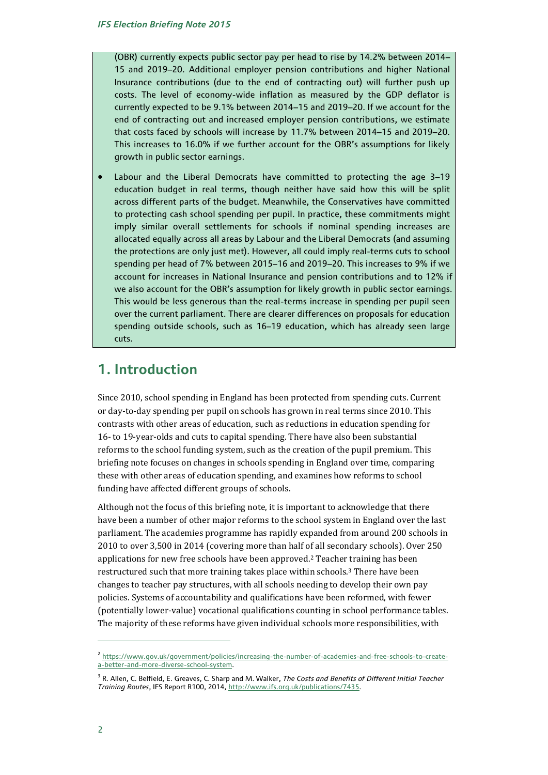(OBR) currently expects public sector pay per head to rise by 14.2% between 2014– 15 and 2019–20. Additional employer pension contributions and higher National Insurance contributions (due to the end of contracting out) will further push up costs. The level of economy-wide inflation as measured by the GDP deflator is currently expected to be 9.1% between 2014–15 and 2019–20. If we account for the end of contracting out and increased employer pension contributions, we estimate that costs faced by schools will increase by 11.7% between 2014–15 and 2019–20. This increases to 16.0% if we further account for the OBR's assumptions for likely growth in public sector earnings.

 Labour and the Liberal Democrats have committed to protecting the age 3–19 education budget in real terms, though neither have said how this will be split across different parts of the budget. Meanwhile, the Conservatives have committed to protecting cash school spending per pupil. In practice, these commitments might imply similar overall settlements for schools if nominal spending increases are allocated equally across all areas by Labour and the Liberal Democrats (and assuming the protections are only just met). However, all could imply real-terms cuts to school spending per head of 7% between 2015–16 and 2019–20. This increases to 9% if we account for increases in National Insurance and pension contributions and to 12% if we also account for the OBR's assumption for likely growth in public sector earnings. This would be less generous than the real-terms increase in spending per pupil seen over the current parliament. There are clearer differences on proposals for education spending outside schools, such as 16–19 education, which has already seen large cuts.

## **1. Introduction**

Since 2010, school spending in England has been protected from spending cuts. Current or day-to-day spending per pupil on schools has grown in real terms since 2010. This contrasts with other areas of education, such as reductions in education spending for 16- to 19-year-olds and cuts to capital spending. There have also been substantial reforms to the school funding system, such as the creation of the pupil premium. This briefing note focuses on changes in schools spending in England over time, comparing these with other areas of education spending, and examines how reforms to school funding have affected different groups of schools.

Although not the focus of this briefing note, it is important to acknowledge that there have been a number of other major reforms to the school system in England over the last parliament. The academies programme has rapidly expanded from around 200 schools in 2010 to over 3,500 in 2014 (covering more than half of all secondary schools). Over 250 applications for new free schools have been approved.2 Teacher training has been restructured such that more training takes place within schools.<sup>3</sup> There have been changes to teacher pay structures, with all schools needing to develop their own pay policies. Systems of accountability and qualifications have been reformed, with fewer (potentially lower-value) vocational qualifications counting in school performance tables. The majority of these reforms have given individual schools more responsibilities, with

<sup>&</sup>lt;sup>2</sup> [https://www.gov.uk/government/policies/increasing-the-number-of-academies-and-free-schools-to-create](https://www.gov.uk/government/policies/increasing-the-number-of-academies-and-free-schools-to-create-a-better-and-more-diverse-school-system)[a-better-and-more-diverse-school-system.](https://www.gov.uk/government/policies/increasing-the-number-of-academies-and-free-schools-to-create-a-better-and-more-diverse-school-system)

<sup>&</sup>lt;sup>3</sup> R. Allen, C. Belfield, E. Greaves, C. Sharp and M. Walker, *The Costs and Benefits of Different Initial Teacher Training Routes*, IFS Report R100, 2014[, http://www.ifs.org.uk/publications/7435.](http://www.ifs.org.uk/publications/7435)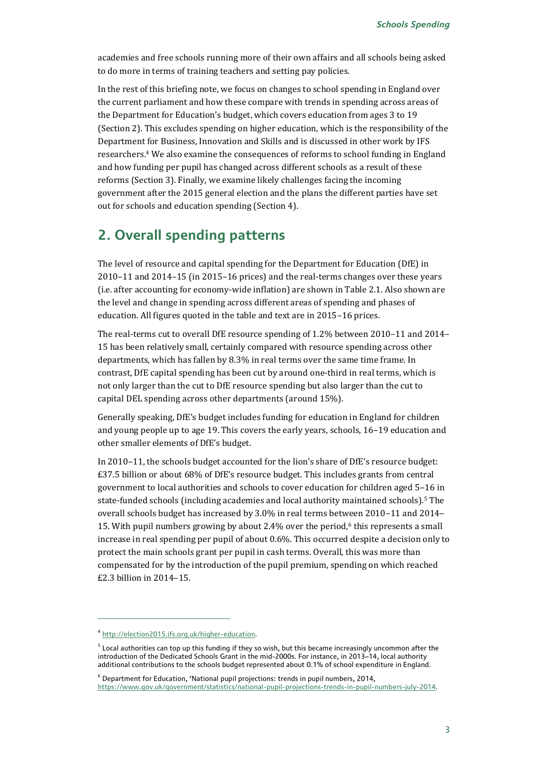academies and free schools running more of their own affairs and all schools being asked to do more in terms of training teachers and setting pay policies.

In the rest of this briefing note, we focus on changes to school spending in England over the current parliament and how these compare with trends in spending across areas of the Department for Education's budget, which covers education from ages 3 to 19 (Section 2). This excludes spending on higher education, which is the responsibility of the Department for Business, Innovation and Skills and is discussed in other work by IFS researchers.4 We also examine the consequences of reforms to school funding in England and how funding per pupil has changed across different schools as a result of these reforms (Section 3). Finally, we examine likely challenges facing the incoming government after the 2015 general election and the plans the different parties have set out for schools and education spending (Section 4).

## **2. Overall spending patterns**

The level of resource and capital spending for the Department for Education (DfE) in 2010–11 and 2014–15 (in 2015–16 prices) and the real-terms changes over these years (i.e. after accounting for economy-wide inflation) are shown in Table 2.1. Also shown are the level and change in spending across different areas of spending and phases of education. All figures quoted in the table and text are in 2015–16 prices.

The real-terms cut to overall DfE resource spending of 1.2% between 2010–11 and 2014– 15 has been relatively small, certainly compared with resource spending across other departments, which has fallen by 8.3% in real terms over the same time frame. In contrast, DfE capital spending has been cut by around one-third in real terms, which is not only larger than the cut to DfE resource spending but also larger than the cut to capital DEL spending across other departments (around 15%).

Generally speaking, DfE's budget includes funding for education in England for children and young people up to age 19. This covers the early years, schools, 16–19 education and other smaller elements of DfE's budget.

In 2010–11, the schools budget accounted for the lion's share of DfE's resource budget: £37.5 billion or about 68% of DfE's resource budget. This includes grants from central government to local authorities and schools to cover education for children aged 5–16 in state-funded schools (including academies and local authority maintained schools).5 The overall schools budget has increased by 3.0% in real terms between 2010–11 and 2014– 15. With pupil numbers growing by about  $2.4\%$  over the period,<sup>6</sup> this represents a small increase in real spending per pupil of about 0.6%. This occurred despite a decision only to protect the main schools grant per pupil in cash terms. Overall, this was more than compensated for by the introduction of the pupil premium, spending on which reached £2.3 billion in 2014–15.

 $\overline{a}$ 

[https://www.gov.uk/government/statistics/national-pupil-projections-trends-in-pupil-numbers-july-2014.](https://www.gov.uk/government/statistics/national-pupil-projections-trends-in-pupil-numbers-july-2014) 

<sup>&</sup>lt;sup>4</sup> [http://election2015.ifs.org.uk/higher-education.](http://election2015.ifs.org.uk/higher-education)

 $^5$  Local authorities can top up this funding if they so wish, but this became increasingly uncommon after the introduction of the Dedicated Schools Grant in the mid-2000s. For instance, in 2013–14, local authority additional contributions to the schools budget represented about 0.1% of school expenditure in England.

<sup>6</sup> Department for Education, 'National pupil projections: trends in pupil numbers, 2014,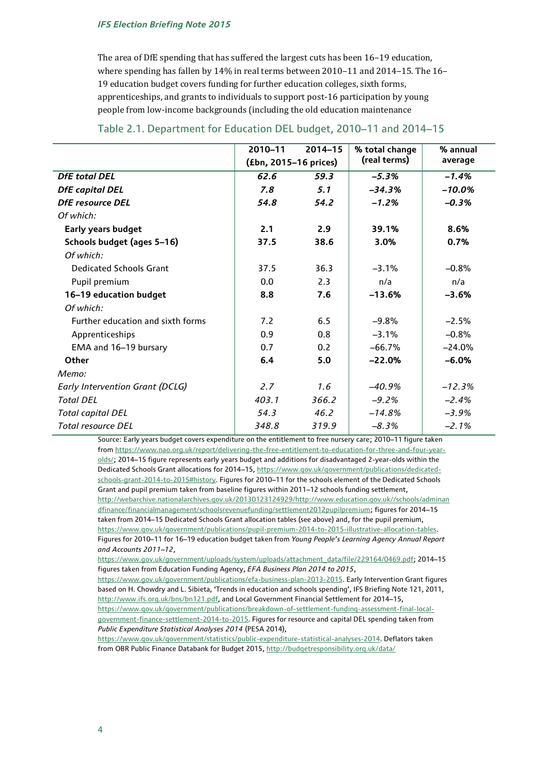The area of DfE spending that has suffered the largest cuts has been 16–19 education, where spending has fallen by 14% in real terms between 2010–11 and 2014–15. The 16– 19 education budget covers funding for further education colleges, sixth forms, apprenticeships, and grants to individuals to support post-16 participation by young people from low-income backgrounds (including the old education maintenance

|                                        | 2010-11               | $2014 - 15$ | % total change | % annual |
|----------------------------------------|-----------------------|-------------|----------------|----------|
|                                        | (£bn, 2015-16 prices) |             | (real terms)   | average  |
| <b>DfE</b> total DEL                   | 62.6                  | 59.3        | $-5.3%$        | $-1.4%$  |
| <b>DfE</b> capital DEL                 | 7.8                   | 5.1         | $-34.3%$       | $-10.0%$ |
| <b>DfE</b> resource DEL                | 54.8                  | 54.2        | $-1.2%$        | $-0.3%$  |
| Of which:                              |                       |             |                |          |
| <b>Early years budget</b>              | 2.1                   | 2.9         | 39.1%          | 8.6%     |
| Schools budget (ages 5-16)             | 37.5                  | 38.6        | 3.0%           | 0.7%     |
| Of which:                              |                       |             |                |          |
| <b>Dedicated Schools Grant</b>         | 37.5                  | 36.3        | $-3.1%$        | $-0.8%$  |
| Pupil premium                          | 0.0                   | 2.3         | n/a            | n/a      |
| 16-19 education budget                 | 8.8                   | 7.6         | $-13.6%$       | $-3.6%$  |
| Of which:                              |                       |             |                |          |
| Further education and sixth forms      | 7.2                   | 6.5         | $-9.8%$        | $-2.5%$  |
| Apprenticeships                        | 0.9                   | 0.8         | $-3.1%$        | $-0.8%$  |
| EMA and 16-19 bursary                  | 0.7                   | 0.2         | $-66.7%$       | $-24.0%$ |
| <b>Other</b>                           | 6.4                   | 5.0         | $-22.0%$       | $-6.0%$  |
| Memo:                                  |                       |             |                |          |
| <b>Early Intervention Grant (DCLG)</b> | 2.7                   | 1.6         | $-40.9%$       | $-12.3%$ |
| <b>Total DEL</b>                       | 403.1                 | 366.2       | $-9.2%$        | $-2.4%$  |
| <b>Total capital DEL</b>               | 54.3                  | 46.2        | $-14.8\%$      | $-3.9%$  |
| <b>Total resource DEL</b>              | 348.8                 | 319.9       | $-8.3%$        | $-2.1%$  |

#### Table 2.1. Department for Education DEL budget, 2010–11 and 2014–15

Source: Early years budget covers expenditure on the entitlement to free nursery care; 2010–11 figure taken fro[m https://www.nao.org.uk/report/delivering-the-free-entitlement-to-education-for-three-and-four-year](https://www.nao.org.uk/report/delivering-the-free-entitlement-to-education-for-three-and-four-year-olds/)[olds/;](https://www.nao.org.uk/report/delivering-the-free-entitlement-to-education-for-three-and-four-year-olds/) 2014–15 figure represents early years budget and additions for disadvantaged 2-year-olds within the Dedicated Schools Grant allocations for 2014–15[, https://www.gov.uk/government/publications/dedicated](https://www.gov.uk/government/publications/dedicated-schools-grant-2014-to-2015#history)[schools-grant-2014-to-2015#history.](https://www.gov.uk/government/publications/dedicated-schools-grant-2014-to-2015#history) Figures for 2010–11 for the schools element of the Dedicated Schools Grant and pupil premium taken from baseline figures within 2011–12 schools funding settlement, [http://webarchive.nationalarchives.gov.uk/20130123124929/http://www.education.gov.uk//schools/adminan](http://webarchive.nationalarchives.gov.uk/20130123124929/http:/www.education.gov.uk/schools/adminandfinance/financialmanagement/schoolsrevenuefunding/settlement2012pupilpremium) [dfinance/financialmanagement/schoolsrevenuefunding/settlement2012pupilpremium;](http://webarchive.nationalarchives.gov.uk/20130123124929/http:/www.education.gov.uk/schools/adminandfinance/financialmanagement/schoolsrevenuefunding/settlement2012pupilpremium) figures for 2014–15 taken from 2014–15 Dedicated Schools Grant allocation tables (see above) and, for the pupil premium, [https://www.gov.uk/government/publications/pupil-premium-2014-to-2015-illustrative-allocation-tables.](https://www.gov.uk/government/publications/pupil-premium-2014-to-2015-illustrative-allocation-tables) Figures for 2010–11 for 16–19 education budget taken from *Young People's Learning Agency Annual Report and Accounts 2011–12*,

[https://www.gov.uk/government/uploads/system/uploads/attachment\\_data/file/229164/0469.pdf;](https://www.gov.uk/government/uploads/system/uploads/attachment_data/file/229164/0469.pdf) 2014–15 figures taken from Education Funding Agency, *EFA Business Plan 2014 to 2015*,

[https://www.gov.uk/government/publications/efa-business-plan-2013-2015.](https://www.gov.uk/government/publications/efa-business-plan-2013-2015) Early Intervention Grant figures based on H. Chowdry and L. Sibieta, 'Trends in education and schools spending', IFS Briefing Note 121, 2011, [http://www.ifs.org.uk/bns/bn121.pdf,](http://www.ifs.org.uk/bns/bn121.pdf) and Local Government Financial Settlement for 2014-15, [https://www.gov.uk/government/publications/breakdown-of-settlement-funding-assessment-final-local-](https://www.gov.uk/government/publications/breakdown-of-settlement-funding-assessment-final-local-government-finance-settlement-2014-to-2015)

[government-finance-settlement-2014-to-2015.](https://www.gov.uk/government/publications/breakdown-of-settlement-funding-assessment-final-local-government-finance-settlement-2014-to-2015) Figures for resource and capital DEL spending taken from *Public Expenditure Statistical Analyses 2014* (PESA 2014),

[https://www.gov.uk/government/statistics/public-expenditure-statistical-analyses-2014.](https://www.gov.uk/government/statistics/public-expenditure-statistical-analyses-2014) Deflators taken from OBR Public Finance Databank for Budget 2015[, http://budgetresponsibility.org.uk/data/](http://budgetresponsibility.org.uk/data/)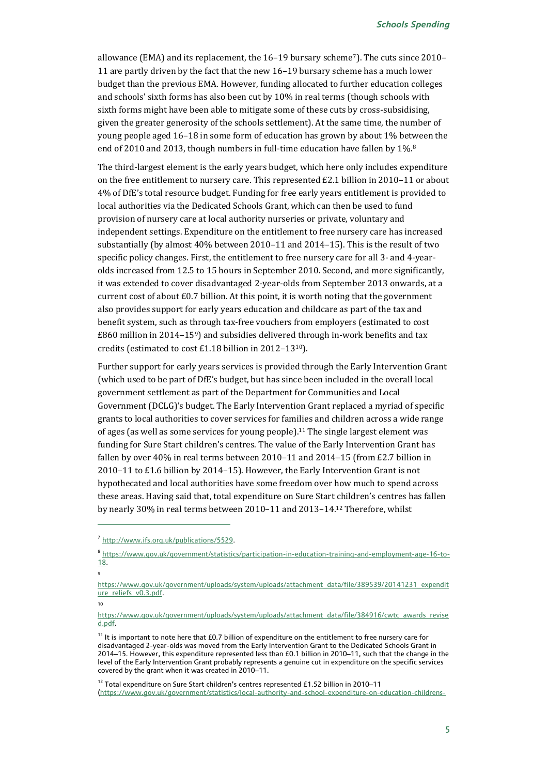allowance (EMA) and its replacement, the 16–19 bursary scheme7). The cuts since 2010– 11 are partly driven by the fact that the new 16–19 bursary scheme has a much lower budget than the previous EMA. However, funding allocated to further education colleges and schools' sixth forms has also been cut by 10% in real terms (though schools with sixth forms might have been able to mitigate some of these cuts by cross-subsidising, given the greater generosity of the schools settlement). At the same time, the number of young people aged 16–18 in some form of education has grown by about 1% between the end of 2010 and 2013, though numbers in full-time education have fallen by 1%.8

The third-largest element is the early years budget, which here only includes expenditure on the free entitlement to nursery care. This represented £2.1 billion in 2010–11 or about 4% of DfE's total resource budget. Funding for free early years entitlement is provided to local authorities via the Dedicated Schools Grant, which can then be used to fund provision of nursery care at local authority nurseries or private, voluntary and independent settings. Expenditure on the entitlement to free nursery care has increased substantially (by almost 40% between 2010–11 and 2014–15). This is the result of two specific policy changes. First, the entitlement to free nursery care for all 3- and 4-yearolds increased from 12.5 to 15 hours in September 2010. Second, and more significantly, it was extended to cover disadvantaged 2-year-olds from September 2013 onwards, at a current cost of about £0.7 billion. At this point, it is worth noting that the government also provides support for early years education and childcare as part of the tax and benefit system, such as through tax-free vouchers from employers (estimated to cost £860 million in 2014–159) and subsidies delivered through in-work benefits and tax credits (estimated to cost £1.18 billion in 2012–1310).

Further support for early years services is provided through the Early Intervention Grant (which used to be part of DfE's budget, but has since been included in the overall local government settlement as part of the Department for Communities and Local Government (DCLG)'s budget. The Early Intervention Grant replaced a myriad of specific grants to local authorities to cover services for families and children across a wide range of ages (as well as some services for young people).<sup>11</sup> The single largest element was funding for Sure Start children's centres. The value of the Early Intervention Grant has fallen by over 40% in real terms between 2010–11 and 2014–15 (from £2.7 billion in 2010–11 to £1.6 billion by 2014–15). However, the Early Intervention Grant is not hypothecated and local authorities have some freedom over how much to spend across these areas. Having said that, total expenditure on Sure Start children's centres has fallen by nearly 30% in real terms between 2010–11 and 2013–14. <sup>12</sup> Therefore, whilst

9

 $\overline{a}$ 

10

<sup>&</sup>lt;sup>7</sup> http://www.ifs.org.uk/publications/5529.

<sup>8</sup> [https://www.gov.uk/government/statistics/participation-in-education-training-and-employment-age-16-to-](https://www.gov.uk/government/statistics/participation-in-education-training-and-employment-age-16-to-18)[18.](https://www.gov.uk/government/statistics/participation-in-education-training-and-employment-age-16-to-18)

[https://www.gov.uk/government/uploads/system/uploads/attachment\\_data/file/389539/20141231\\_expendit](https://www.gov.uk/government/uploads/system/uploads/attachment_data/file/389539/20141231_expenditure_reliefs_v0.3.pdf) [ure\\_reliefs\\_v0.3.pdf.](https://www.gov.uk/government/uploads/system/uploads/attachment_data/file/389539/20141231_expenditure_reliefs_v0.3.pdf)

[https://www.gov.uk/government/uploads/system/uploads/attachment\\_data/file/384916/cwtc\\_awards\\_revise](https://www.gov.uk/government/uploads/system/uploads/attachment_data/file/384916/cwtc_awards_revised.pdf) [d.pdf.](https://www.gov.uk/government/uploads/system/uploads/attachment_data/file/384916/cwtc_awards_revised.pdf) 

<sup>&</sup>lt;sup>11</sup> It is important to note here that £0.7 billion of expenditure on the entitlement to free nursery care for disadvantaged 2-year-olds was moved from the Early Intervention Grant to the Dedicated Schools Grant in 2014–15. However, this expenditure represented less than £0.1 billion in 2010–11, such that the change in the level of the Early Intervention Grant probably represents a genuine cut in expenditure on the specific services covered by the grant when it was created in 2010–11.

<sup>&</sup>lt;sup>12</sup> Total expenditure on Sure Start children's centres represented £1.52 billion in 2010–11 [\(https://www.gov.uk/government/statistics/local-authority-and-school-expenditure-on-education-childrens-](https://www.gov.uk/government/statistics/local-authority-and-school-expenditure-on-education-childrens-services-and-social-care-2010-to-2011)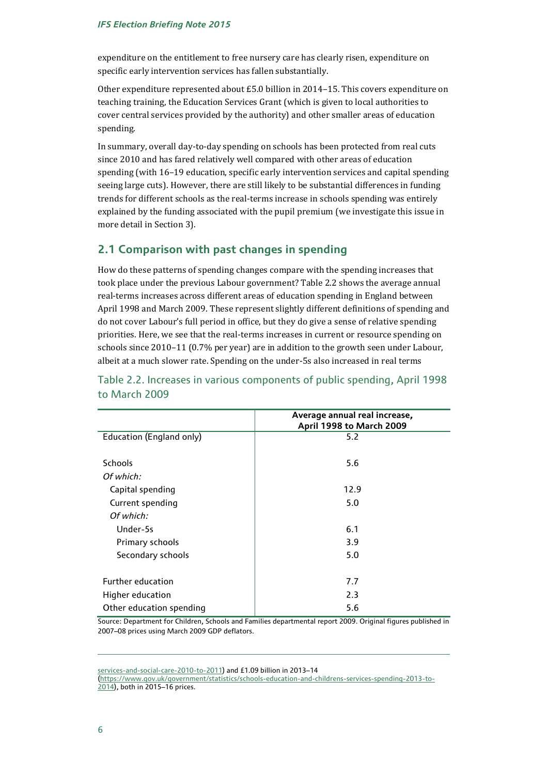expenditure on the entitlement to free nursery care has clearly risen, expenditure on specific early intervention services has fallen substantially.

Other expenditure represented about £5.0 billion in 2014–15. This covers expenditure on teaching training, the Education Services Grant (which is given to local authorities to cover central services provided by the authority) and other smaller areas of education spending.

In summary, overall day-to-day spending on schools has been protected from real cuts since 2010 and has fared relatively well compared with other areas of education spending (with 16–19 education, specific early intervention services and capital spending seeing large cuts). However, there are still likely to be substantial differences in funding trends for different schools as the real-terms increase in schools spending was entirely explained by the funding associated with the pupil premium (we investigate this issue in more detail in Section 3).

### **2.1 Comparison with past changes in spending**

How do these patterns of spending changes compare with the spending increases that took place under the previous Labour government? Table 2.2 shows the average annual real-terms increases across different areas of education spending in England between April 1998 and March 2009. These represent slightly different definitions of spending and do not cover Labour's full period in office, but they do give a sense of relative spending priorities. Here, we see that the real-terms increases in current or resource spending on schools since 2010–11 (0.7% per year) are in addition to the growth seen under Labour, albeit at a much slower rate. Spending on the under-5s also increased in real terms

|                          | Average annual real increase,<br>April 1998 to March 2009 |
|--------------------------|-----------------------------------------------------------|
| Education (England only) | 5.2                                                       |
|                          |                                                           |
| Schools                  | 5.6                                                       |
| Of which:                |                                                           |
| Capital spending         | 12.9                                                      |
| Current spending         | 5.0                                                       |
| Of which:                |                                                           |
| Under-5s                 | 6.1                                                       |
| Primary schools          | 3.9                                                       |
| Secondary schools        | 5.0                                                       |
|                          |                                                           |
| <b>Further education</b> | 7.7                                                       |
| Higher education         | 2.3                                                       |
| Other education spending | 5.6                                                       |

Table 2.2. Increases in various components of public spending, April 1998 to March 2009

Source: Department for Children, Schools and Families departmental report 2009. Original figures published in 2007–08 prices using March 2009 GDP deflators.

services-and-social-care-2010-to-2011) and £1.09 billion in 2013–14

[\(https://www.gov.uk/government/statistics/schools-education-and-childrens-services-spending-2013-to-](https://www.gov.uk/government/statistics/schools-education-and-childrens-services-spending-2013-to-2014)[2014\)](https://www.gov.uk/government/statistics/schools-education-and-childrens-services-spending-2013-to-2014), both in 2015–16 prices.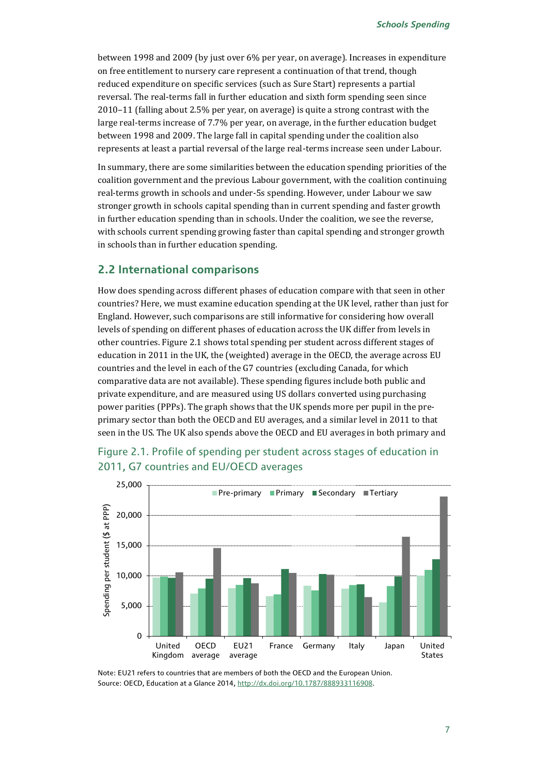between 1998 and 2009 (by just over 6% per year, on average). Increases in expenditure on free entitlement to nursery care represent a continuation of that trend, though reduced expenditure on specific services (such as Sure Start) represents a partial reversal. The real-terms fall in further education and sixth form spending seen since 2010–11 (falling about 2.5% per year, on average) is quite a strong contrast with the large real-terms increase of 7.7% per year, on average, in the further education budget between 1998 and 2009. The large fall in capital spending under the coalition also represents at least a partial reversal of the large real-terms increase seen under Labour.

In summary, there are some similarities between the education spending priorities of the coalition government and the previous Labour government, with the coalition continuing real-terms growth in schools and under-5s spending. However, under Labour we saw stronger growth in schools capital spending than in current spending and faster growth in further education spending than in schools. Under the coalition, we see the reverse, with schools current spending growing faster than capital spending and stronger growth in schools than in further education spending.

#### **2.2 International comparisons**

How does spending across different phases of education compare with that seen in other countries? Here, we must examine education spending at the UK level, rather than just for England. However, such comparisons are still informative for considering how overall levels of spending on different phases of education across the UK differ from levels in other countries. Figure 2.1 shows total spending per student across different stages of education in 2011 in the UK, the (weighted) average in the OECD, the average across EU countries and the level in each of the G7 countries (excluding Canada, for which comparative data are not available). These spending figures include both public and private expenditure, and are measured using US dollars converted using purchasing power parities (PPPs). The graph shows that the UK spends more per pupil in the preprimary sector than both the OECD and EU averages, and a similar level in 2011 to that seen in the US. The UK also spends above the OECD and EU averages in both primary and



### Figure 2.1. Profile of spending per student across stages of education in 2011, G7 countries and EU/OECD averages

Note: EU21 refers to countries that are members of both the OECD and the European Union. Source: OECD, Education at a Glance 2014[, http://dx.doi.org/10.1787/888933116908.](http://dx.doi.org/10.1787/888933116908)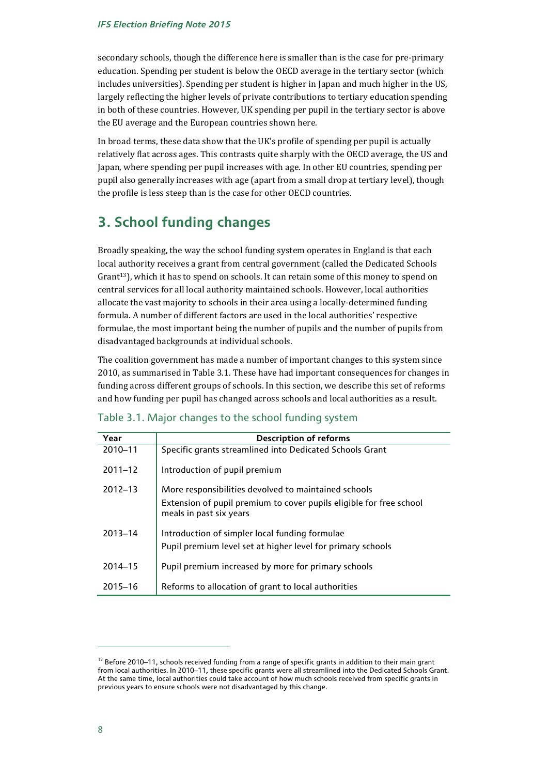secondary schools, though the difference here is smaller than is the case for pre-primary education. Spending per student is below the OECD average in the tertiary sector (which includes universities). Spending per student is higher in Japan and much higher in the US, largely reflecting the higher levels of private contributions to tertiary education spending in both of these countries. However, UK spending per pupil in the tertiary sector is above the EU average and the European countries shown here.

In broad terms, these data show that the UK's profile of spending per pupil is actually relatively flat across ages. This contrasts quite sharply with the OECD average, the US and Japan, where spending per pupil increases with age. In other EU countries, spending per pupil also generally increases with age (apart from a small drop at tertiary level), though the profile is less steep than is the case for other OECD countries.

## **3. School funding changes**

Broadly speaking, the way the school funding system operates in England is that each local authority receives a grant from central government (called the Dedicated Schools Grant<sup>13</sup>), which it has to spend on schools. It can retain some of this money to spend on central services for all local authority maintained schools. However, local authorities allocate the vast majority to schools in their area using a locally-determined funding formula. A number of different factors are used in the local authorities' respective formulae, the most important being the number of pupils and the number of pupils from disadvantaged backgrounds at individual schools.

The coalition government has made a number of important changes to this system since 2010, as summarised in Table 3.1. These have had important consequences for changes in funding across different groups of schools. In this section, we describe this set of reforms and how funding per pupil has changed across schools and local authorities as a result.

| Year        | <b>Description of reforms</b>                                                                  |
|-------------|------------------------------------------------------------------------------------------------|
| 2010-11     | Specific grants streamlined into Dedicated Schools Grant                                       |
| $2011 - 12$ | Introduction of pupil premium                                                                  |
| $2012 - 13$ | More responsibilities devolved to maintained schools                                           |
|             | Extension of pupil premium to cover pupils eligible for free school<br>meals in past six years |
| $2013 - 14$ | Introduction of simpler local funding formulae                                                 |
|             | Pupil premium level set at higher level for primary schools                                    |
| 2014-15     | Pupil premium increased by more for primary schools                                            |
| 2015-16     | Reforms to allocation of grant to local authorities                                            |

#### Table 3.1. Major changes to the school funding system

 $13$  Before 2010–11, schools received funding from a range of specific grants in addition to their main grant from local authorities. In 2010–11, these specific grants were all streamlined into the Dedicated Schools Grant. At the same time, local authorities could take account of how much schools received from specific grants in previous years to ensure schools were not disadvantaged by this change.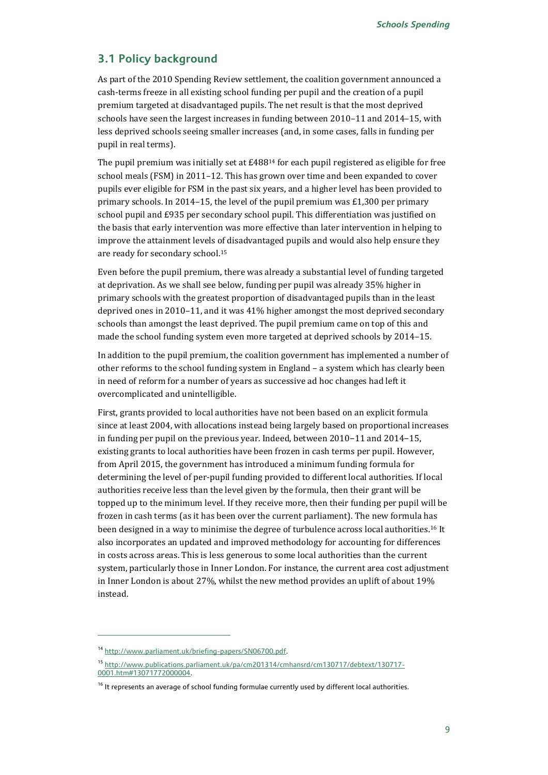#### **3.1 Policy background**

As part of the 2010 Spending Review settlement, the coalition government announced a cash-terms freeze in all existing school funding per pupil and the creation of a pupil premium targeted at disadvantaged pupils. The net result is that the most deprived schools have seen the largest increases in funding between 2010–11 and 2014–15, with less deprived schools seeing smaller increases (and, in some cases, falls in funding per pupil in real terms).

The pupil premium was initially set at  $E488^{14}$  for each pupil registered as eligible for free school meals (FSM) in 2011–12. This has grown over time and been expanded to cover pupils ever eligible for FSM in the past six years, and a higher level has been provided to primary schools. In 2014–15, the level of the pupil premium was £1,300 per primary school pupil and £935 per secondary school pupil. This differentiation was justified on the basis that early intervention was more effective than later intervention in helping to improve the attainment levels of disadvantaged pupils and would also help ensure they are ready for secondary school.<sup>15</sup>

Even before the pupil premium, there was already a substantial level of funding targeted at deprivation. As we shall see below, funding per pupil was already 35% higher in primary schools with the greatest proportion of disadvantaged pupils than in the least deprived ones in 2010–11, and it was 41% higher amongst the most deprived secondary schools than amongst the least deprived. The pupil premium came on top of this and made the school funding system even more targeted at deprived schools by 2014–15.

In addition to the pupil premium, the coalition government has implemented a number of other reforms to the school funding system in England – a system which has clearly been in need of reform for a number of years as successive ad hoc changes had left it overcomplicated and unintelligible.

First, grants provided to local authorities have not been based on an explicit formula since at least 2004, with allocations instead being largely based on proportional increases in funding per pupil on the previous year. Indeed, between 2010−11 and 2014−15, existing grants to local authorities have been frozen in cash terms per pupil. However, from April 2015, the government has introduced a minimum funding formula for determining the level of per-pupil funding provided to different local authorities. If local authorities receive less than the level given by the formula, then their grant will be topped up to the minimum level. If they receive more, then their funding per pupil will be frozen in cash terms (as it has been over the current parliament). The new formula has been designed in a way to minimise the degree of turbulence across local authorities.<sup>16</sup> It also incorporates an updated and improved methodology for accounting for differences in costs across areas. This is less generous to some local authorities than the current system, particularly those in Inner London. For instance, the current area cost adjustment in Inner London is about 27%, whilst the new method provides an uplift of about 19% instead.

<sup>14</sup> [http://www.parliament.uk/briefing-papers/SN06700.pdf.](http://www.parliament.uk/briefing-papers/SN06700.pdf) 

<sup>15</sup> [http://www.publications.parliament.uk/pa/cm201314/cmhansrd/cm130717/debtext/130717-](http://www.publications.parliament.uk/pa/cm201314/cmhansrd/cm130717/debtext/130717-0001.htm#13071772000004) [0001.htm#13071772000004.](http://www.publications.parliament.uk/pa/cm201314/cmhansrd/cm130717/debtext/130717-0001.htm#13071772000004)

<sup>&</sup>lt;sup>16</sup> It represents an average of school funding formulae currently used by different local authorities.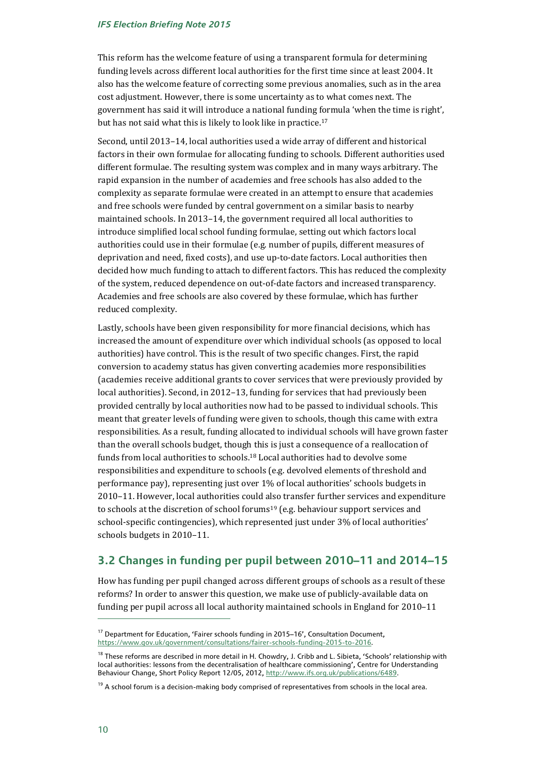This reform has the welcome feature of using a transparent formula for determining funding levels across different local authorities for the first time since at least 2004. It also has the welcome feature of correcting some previous anomalies, such as in the area cost adjustment. However, there is some uncertainty as to what comes next. The government has said it will introduce a national funding formula 'when the time is right', but has not said what this is likely to look like in practice.<sup>17</sup>

Second, until 2013–14, local authorities used a wide array of different and historical factors in their own formulae for allocating funding to schools. Different authorities used different formulae. The resulting system was complex and in many ways arbitrary. The rapid expansion in the number of academies and free schools has also added to the complexity as separate formulae were created in an attempt to ensure that academies and free schools were funded by central government on a similar basis to nearby maintained schools. In 2013–14, the government required all local authorities to introduce [simplified local school funding formulae,](https://www.gov.uk/government/publications/school-funding-reform-arrangements-for-2013-to-2014) setting out which factors local authorities could use in their formulae (e.g. number of pupils, different measures of deprivation and need, fixed costs), and use up-to-date factors. Local authorities then decided how much funding to attach to different factors. This has reduced the complexity of the system, reduced dependence on out-of-date factors and increased transparency. Academies and free schools are also covered by these formulae, which has further reduced complexity.

Lastly, schools have been given responsibility for more financial decisions, which has increased the amount of expenditure over which individual schools (as opposed to local authorities) have control. This is the result of two specific changes. First, the rapid conversion to academy status has given converting academies more responsibilities (academies receive additional grants to cover services that were previously provided by local authorities). Second, in 2012–13, funding for services that had previously been provided centrally by local authorities now had to be passed to individual schools. This meant that greater levels of funding were given to schools, though this came with extra responsibilities. As a result, funding allocated to individual schools will have grown faster than the overall schools budget, though this is just a consequence of a reallocation of funds from local authorities to schools.18 Local authorities had to devolve some responsibilities and expenditure to schools (e.g. devolved elements of threshold and performance pay), representing just over 1% of local authorities' schools budgets in 2010–11. However, local authorities could also transfer further services and expenditure to schools at the discretion of school forums19 (e.g. behaviour support services and school-specific contingencies), which represented just under 3% of local authorities' schools budgets in 2010–11.

### **3.2 Changes in funding per pupil between 2010–11 and 2014–15**

How has funding per pupil changed across different groups of schools as a result of these reforms? In order to answer this question, we make use of publicly-available data on funding per pupil across all local authority maintained schools in England for 2010–11

<sup>&</sup>lt;sup>17</sup> Department for Education, 'Fairer schools funding in 2015–16', Consultation Document, [https://www.gov.uk/government/consultations/fairer-schools-funding-2015-to-2016.](https://www.gov.uk/government/consultations/fairer-schools-funding-2015-to-2016)

<sup>&</sup>lt;sup>18</sup> These reforms are described in more detail in H. Chowdry, J. Cribb and L. Sibieta, 'Schools' relationship with local authorities: lessons from the decentralisation of healthcare commissioning', Centre for Understanding Behaviour Change, Short Policy Report 12/05, 2012, [http://www.ifs.org.uk/publications/6489.](http://www.ifs.org.uk/publications/6489)

 $19$  A school forum is a decision-making body comprised of representatives from schools in the local area.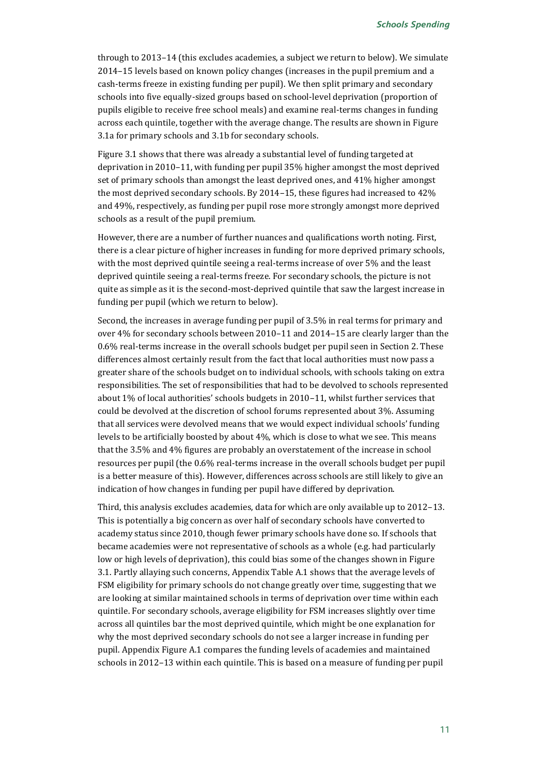through to 2013–14 (this excludes academies, a subject we return to below). We simulate 2014–15 levels based on known policy changes (increases in the pupil premium and a cash-terms freeze in existing funding per pupil). We then split primary and secondary schools into five equally-sized groups based on school-level deprivation (proportion of pupils eligible to receive free school meals) and examine real-terms changes in funding across each quintile, together with the average change. The results are shown in Figure 3.1a for primary schools and 3.1b for secondary schools.

Figure 3.1 shows that there was already a substantial level of funding targeted at deprivation in 2010–11, with funding per pupil 35% higher amongst the most deprived set of primary schools than amongst the least deprived ones, and 41% higher amongst the most deprived secondary schools. By 2014–15, these figures had increased to 42% and 49%, respectively, as funding per pupil rose more strongly amongst more deprived schools as a result of the pupil premium.

However, there are a number of further nuances and qualifications worth noting. First, there is a clear picture of higher increases in funding for more deprived primary schools, with the most deprived quintile seeing a real-terms increase of over 5% and the least deprived quintile seeing a real-terms freeze. For secondary schools, the picture is not quite as simple as it is the second-most-deprived quintile that saw the largest increase in funding per pupil (which we return to below).

Second, the increases in average funding per pupil of 3.5% in real terms for primary and over 4% for secondary schools between 2010–11 and 2014–15 are clearly larger than the 0.6% real-terms increase in the overall schools budget per pupil seen in Section 2. These differences almost certainly result from the fact that local authorities must now pass a greater share of the schools budget on to individual schools, with schools taking on extra responsibilities. The set of responsibilities that had to be devolved to schools represented about 1% of local authorities' schools budgets in 2010–11, whilst further services that could be devolved at the discretion of school forums represented about 3%. Assuming that all services were devolved means that we would expect individual schools' funding levels to be artificially boosted by about 4%, which is close to what we see. This means that the 3.5% and 4% figures are probably an overstatement of the increase in school resources per pupil (the 0.6% real-terms increase in the overall schools budget per pupil is a better measure of this). However, differences across schools are still likely to give an indication of how changes in funding per pupil have differed by deprivation.

Third, this analysis excludes academies, data for which are only available up to 2012–13. This is potentially a big concern as over half of secondary schools have converted to academy status since 2010, though fewer primary schools have done so. If schools that became academies were not representative of schools as a whole (e.g. had particularly low or high levels of deprivation), this could bias some of the changes shown in Figure 3.1. Partly allaying such concerns, Appendix Table A.1 shows that the average levels of FSM eligibility for primary schools do not change greatly over time, suggesting that we are looking at similar maintained schools in terms of deprivation over time within each quintile. For secondary schools, average eligibility for FSM increases slightly over time across all quintiles bar the most deprived quintile, which might be one explanation for why the most deprived secondary schools do not see a larger increase in funding per pupil. Appendix Figure A.1 compares the funding levels of academies and maintained schools in 2012–13 within each quintile. This is based on a measure of funding per pupil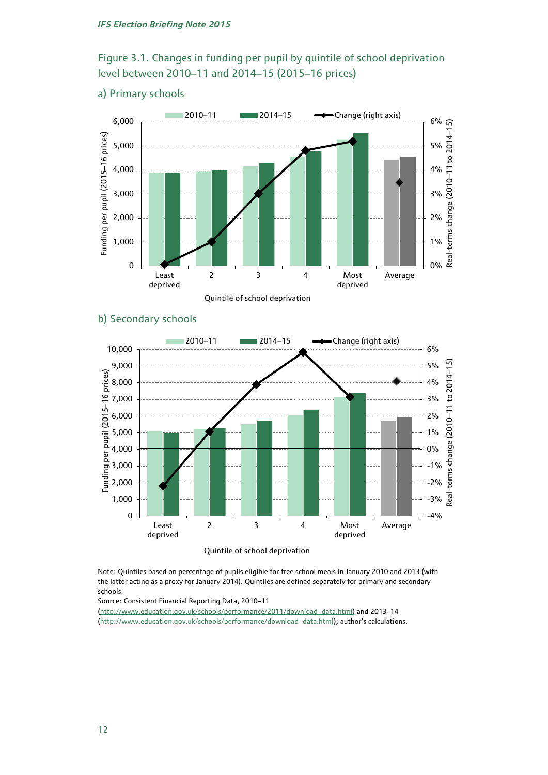## Figure 3.1. Changes in funding per pupil by quintile of school deprivation level between 2010–11 and 2014–15 (2015–16 prices)

### a) Primary schools



### b) Secondary schools



Quintile of school deprivation

Note: Quintiles based on percentage of pupils eligible for free school meals in January 2010 and 2013 (with the latter acting as a proxy for January 2014). Quintiles are defined separately for primary and secondary schools.

Source: Consistent Financial Reporting Data, 2010–11

[\(http://www.education.gov.uk/schools/performance/2011/download\\_data.html\)](http://www.education.gov.uk/schools/performance/2011/download_data.html) and 2013–14 [\(http://www.education.gov.uk/schools/performance/download\\_data.html\)](http://www.education.gov.uk/schools/performance/download_data.html); author's calculations.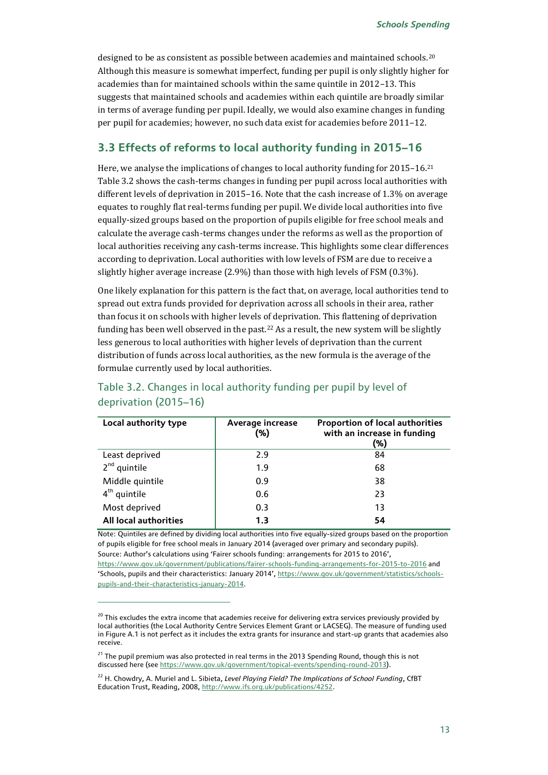designed to be as consistent as possible between academies and maintained schools.<sup>20</sup> Although this measure is somewhat imperfect, funding per pupil is only slightly higher for academies than for maintained schools within the same quintile in 2012–13. This suggests that maintained schools and academies within each quintile are broadly similar in terms of average funding per pupil. Ideally, we would also examine changes in funding per pupil for academies; however, no such data exist for academies before 2011–12.

### **3.3 Effects of reforms to local authority funding in 2015–16**

Here, we analyse the implications of changes to local authority funding for 2015–16.<sup>21</sup> Table 3.2 shows the cash-terms changes in funding per pupil across local authorities with different levels of deprivation in 2015–16. Note that the cash increase of 1.3% on average equates to roughly flat real-terms funding per pupil. We divide local authorities into five equally-sized groups based on the proportion of pupils eligible for free school meals and calculate the average cash-terms changes under the reforms as well as the proportion of local authorities receiving any cash-terms increase. This highlights some clear differences according to deprivation. Local authorities with low levels of FSM are due to receive a slightly higher average increase (2.9%) than those with high levels of FSM (0.3%).

One likely explanation for this pattern is the fact that, on average, local authorities tend to spread out extra funds provided for deprivation across all schools in their area, rather than focus it on schools with higher levels of deprivation. This flattening of deprivation funding has been well observed in the past.<sup>22</sup> As a result, the new system will be slightly less generous to local authorities with higher levels of deprivation than the current distribution of funds across local authorities, as the new formula is the average of the formulae currently used by local authorities.

| Local authority type  | Average increase<br>(%) | <b>Proportion of local authorities</b><br>with an increase in funding<br>(%) |
|-----------------------|-------------------------|------------------------------------------------------------------------------|
| Least deprived        | 2.9                     | 84                                                                           |
| $2nd$ quintile        | 1.9                     | 68                                                                           |
| Middle quintile       | 0.9                     | 38                                                                           |
| $4th$ quintile        | 0.6                     | 23                                                                           |
| Most deprived         | 0.3                     | 13                                                                           |
| All local authorities | 1.3                     | 54                                                                           |

## Table 3.2. Changes in local authority funding per pupil by level of deprivation (2015–16)

Note: Quintiles are defined by dividing local authorities into five equally-sized groups based on the proportion of pupils eligible for free school meals in January 2014 (averaged over primary and secondary pupils). Source: Author's calculations using 'Fairer schools funding: arrangements for 2015 to 2016', [https://www.gov.uk/government/publications/fairer-schools-funding-arrangements-for-2015-to-2016 a](https://www.gov.uk/government/publications/fairer-schools-funding-arrangements-for-2015-to-2016)nd 'Schools, pupils and their characteristics: January 2014', [https://www.gov.uk/government/statistics/schools](https://www.gov.uk/government/statistics/schools-pupils-and-their-characteristics-january-2014)[pupils-and-their-characteristics-january-2014.](https://www.gov.uk/government/statistics/schools-pupils-and-their-characteristics-january-2014)

<sup>&</sup>lt;sup>20</sup> This excludes the extra income that academies receive for delivering extra services previously provided by local authorities (the Local Authority Centre Services Element Grant or LACSEG). The measure of funding used in Figure A.1 is not perfect as it includes the extra grants for insurance and start-up grants that academies also receive.

<sup>&</sup>lt;sup>21</sup> The pupil premium was also protected in real terms in the 2013 Spending Round, though this is not discussed here (see [https://www.gov.uk/government/topical-events/spending-round-2013\)](https://www.gov.uk/government/topical-events/spending-round-2013).

<sup>&</sup>lt;sup>22</sup> H. Chowdry, A. Muriel and L. Sibieta, *Level Playing Field? The Implications of School Funding*, CfBT Education Trust, Reading, 2008[, http://www.ifs.org.uk/publications/4252.](http://www.ifs.org.uk/publications/4252)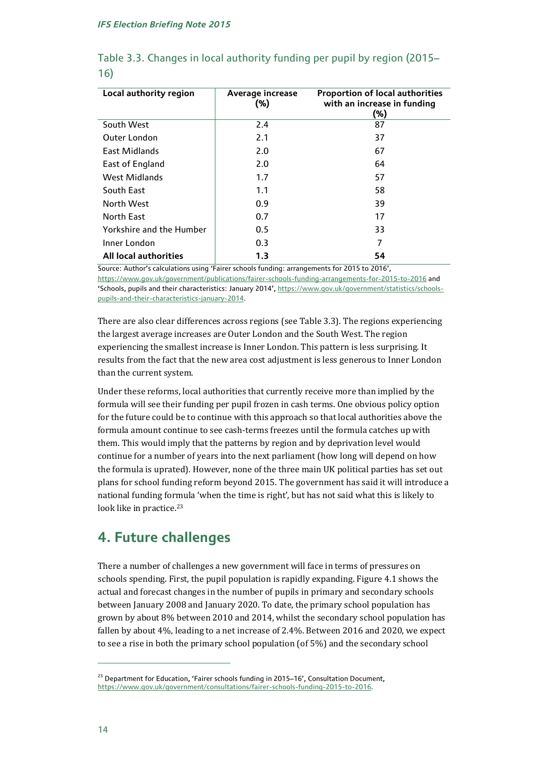| Local authority region          | Average increase<br>$(\% )$ | <b>Proportion of local authorities</b><br>with an increase in funding<br>(%) |
|---------------------------------|-----------------------------|------------------------------------------------------------------------------|
| South West                      | 2.4                         | 87                                                                           |
| <b>Outer London</b>             | 2.1                         | 37                                                                           |
| East Midlands                   | 2.0                         | 67                                                                           |
| East of England                 | 2.0                         | 64                                                                           |
| <b>West Midlands</b>            | 1.7                         | 57                                                                           |
| South East                      | 1.1                         | 58                                                                           |
| North West                      | 0.9                         | 39                                                                           |
| North East                      | 0.7                         | 17                                                                           |
| <b>Yorkshire and the Humber</b> | 0.5                         | 33                                                                           |
| Inner London                    | 0.3                         | 7                                                                            |
| <b>All local authorities</b>    | 1.3                         | 54                                                                           |

### Table 3.3. Changes in local authority funding per pupil by region (2015– 16)

Source: Author's calculations using 'Fairer schools funding: arrangements for 2015 to 2016',

[https://www.gov.uk/government/publications/fairer-schools-funding-arrangements-for-2015-to-2016 a](https://www.gov.uk/government/publications/fairer-schools-funding-arrangements-for-2015-to-2016)nd 'Schools, pupils and their characteristics: January 2014', [https://www.gov.uk/government/statistics/schools](https://www.gov.uk/government/statistics/schools-pupils-and-their-characteristics-january-2014)[pupils-and-their-characteristics-january-2014.](https://www.gov.uk/government/statistics/schools-pupils-and-their-characteristics-january-2014)

There are also clear differences across regions (see Table 3.3). The regions experiencing the largest average increases are Outer London and the South West. The region experiencing the smallest increase is Inner London. This pattern is less surprising. It results from the fact that the new area cost adjustment is less generous to Inner London than the current system.

Under these reforms, local authorities that currently receive more than implied by the formula will see their funding per pupil frozen in cash terms. One obvious policy option for the future could be to continue with this approach so that local authorities above the formula amount continue to see cash-terms freezes until the formula catches up with them. This would imply that the patterns by region and by deprivation level would continue for a number of years into the next parliament (how long will depend on how the formula is uprated). However, none of the three main UK political parties has set out plans for school funding reform beyond 2015. The government has said it will introduce a national funding formula 'when the time is right', but has not said what this is likely to look like in practice.<sup>23</sup>

## **4. Future challenges**

There a number of challenges a new government will face in terms of pressures on schools spending. First, the pupil population is rapidly expanding. Figure 4.1 shows the actual and forecast changes in the number of pupils in primary and secondary schools between January 2008 and January 2020. To date, the primary school population has grown by about 8% between 2010 and 2014, whilst the secondary school population has fallen by about 4%, leading to a net increase of 2.4%. Between 2016 and 2020, we expect to see a rise in both the primary school population (of 5%) and the secondary school

<sup>&</sup>lt;sup>23</sup> Department for Education, 'Fairer schools funding in 2015–16', Consultation Document, [https://www.gov.uk/government/consultations/fairer-schools-funding-2015-to-2016.](https://www.gov.uk/government/consultations/fairer-schools-funding-2015-to-2016)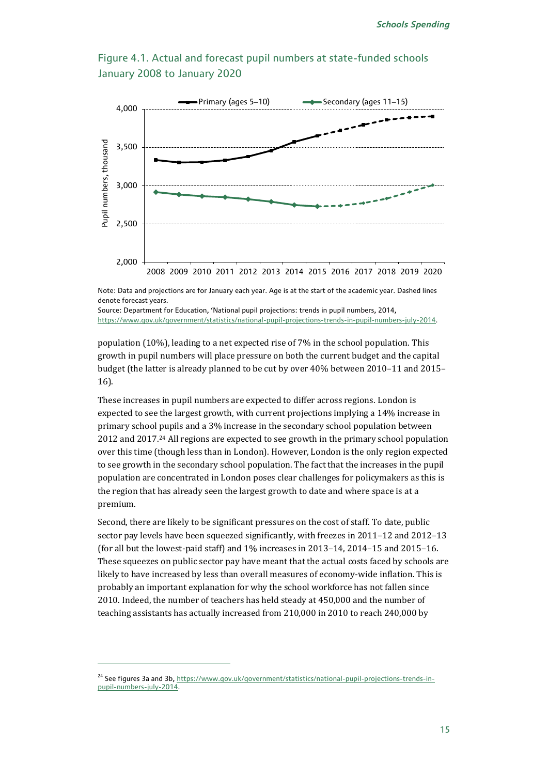### Figure 4.1. Actual and forecast pupil numbers at state-funded schools January 2008 to January 2020



Note: Data and projections are for January each year. Age is at the start of the academic year. Dashed lines denote forecast years.

Source: Department for Education, 'National pupil projections: trends in pupil numbers, 2014, [https://www.gov.uk/government/statistics/national-pupil-projections-trends-in-pupil-numbers-july-2014.](https://www.gov.uk/government/statistics/national-pupil-projections-trends-in-pupil-numbers-july-2014) 

population (10%), leading to a net expected rise of 7% in the school population. This growth in pupil numbers will place pressure on both the current budget and the capital budget (the latter is already planned to be cut by over 40% between 2010–11 and 2015– 16).

These increases in pupil numbers are expected to differ across regions. London is expected to see the largest growth, with current projections implying a 14% increase in primary school pupils and a 3% increase in the secondary school population between 2012 and 2017.24 All regions are expected to see growth in the primary school population over this time (though less than in London). However, London is the only region expected to see growth in the secondary school population. The fact that the increases in the pupil population are concentrated in London poses clear challenges for policymakers as this is the region that has already seen the largest growth to date and where space is at a premium.

Second, there are likely to be significant pressures on the cost of staff. To date, public sector pay levels have been squeezed significantly, with freezes in 2011–12 and 2012–13 (for all but the lowest-paid staff) and 1% increases in 2013–14, 2014–15 and 2015–16. These squeezes on public sector pay have meant that the actual costs faced by schools are likely to have increased by less than overall measures of economy-wide inflation. This is probably an important explanation for why the school workforce has not fallen since 2010. Indeed, the number of teachers has held steady at 450,000 and the number of teaching assistants has actually increased from 210,000 in 2010 to reach 240,000 by

<sup>&</sup>lt;sup>24</sup> See figures 3a and 3b[, https://www.gov.uk/government/statistics/national-pupil-projections-trends-in](https://www.gov.uk/government/statistics/national-pupil-projections-trends-in-pupil-numbers-july-2014)[pupil-numbers-july-2014.](https://www.gov.uk/government/statistics/national-pupil-projections-trends-in-pupil-numbers-july-2014)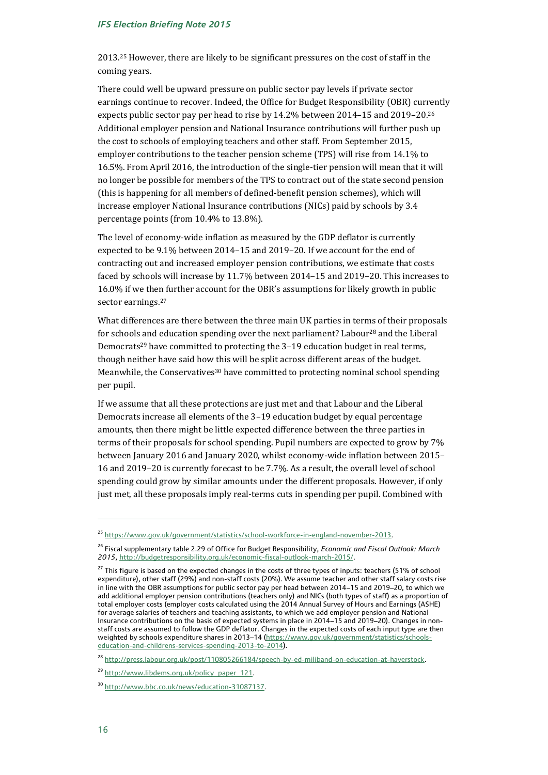2013. <sup>25</sup> However, there are likely to be significant pressures on the cost of staff in the coming years.

There could well be upward pressure on public sector pay levels if private sector earnings continue to recover. Indeed, the Office for Budget Responsibility (OBR) currently expects public sector pay per head to rise by 14.2% between 2014–15 and 2019–20. 26 Additional employer pension and National Insurance contributions will further push up the cost to schools of employing teachers and other staff. From September 2015, employer contributions to the teacher pension scheme (TPS) will rise from 14.1% to 16.5%. From April 2016, the introduction of the single-tier pension will mean that it will no longer be possible for members of the TPS to contract out of the state second pension (this is happening for all members of defined-benefit pension schemes), which will increase employer National Insurance contributions (NICs) paid by schools by 3.4 percentage points (from 10.4% to 13.8%).

The level of economy-wide inflation as measured by the GDP deflator is currently expected to be 9.1% between 2014–15 and 2019–20. If we account for the end of contracting out and increased employer pension contributions, we estimate that costs faced by schools will increase by 11.7% between 2014–15 and 2019–20. This increases to 16.0% if we then further account for the OBR's assumptions for likely growth in public sector earnings.<sup>27</sup>

What differences are there between the three main UK parties in terms of their proposals for schools and education spending over the next parliament? Labour<sup>28</sup> and the Liberal Democrats<sup>29</sup> have committed to protecting the 3-19 education budget in real terms, though neither have said how this will be split across different areas of the budget. Meanwhile, the Conservatives<sup>30</sup> have committed to protecting nominal school spending per pupil.

If we assume that all these protections are just met and that Labour and the Liberal Democrats increase all elements of the 3–19 education budget by equal percentage amounts, then there might be little expected difference between the three parties in terms of their proposals for school spending. Pupil numbers are expected to grow by 7% between January 2016 and January 2020, whilst economy-wide inflation between 2015– 16 and 2019–20 is currently forecast to be 7.7%. As a result, the overall level of school spending could grow by similar amounts under the different proposals. However, if only just met, all these proposals imply real-terms cuts in spending per pupil. Combined with

<sup>&</sup>lt;sup>25</sup> [https://www.gov.uk/government/statistics/school-workforce-in-england-november-2013.](https://www.gov.uk/government/statistics/school-workforce-in-england-november-2013)

<sup>26</sup> Fiscal supplementary table 2.29 of Office for Budget Responsibility, *Economic and Fiscal Outlook: March 2015*[, http://budgetresponsibility.org.uk/economic-fiscal-outlook-march-2015/.](http://budgetresponsibility.org.uk/economic-fiscal-outlook-march-2015/)

<sup>&</sup>lt;sup>27</sup> This figure is based on the expected changes in the costs of three types of inputs: teachers (51% of school expenditure), other staff (29%) and non-staff costs (20%). We assume teacher and other staff salary costs rise in line with the OBR assumptions for public sector pay per head between 2014–15 and 2019–20, to which we add additional employer pension contributions (teachers only) and NICs (both types of staff) as a proportion of total employer costs (employer costs calculated using the 2014 Annual Survey of Hours and Earnings (ASHE) for average salaries of teachers and teaching assistants, to which we add employer pension and National Insurance contributions on the basis of expected systems in place in 2014–15 and 2019–20). Changes in nonstaff costs are assumed to follow the GDP deflator. Changes in the expected costs of each input type are then weighted by schools expenditure shares in 2013-14 [\(https://www.gov.uk/government/statistics/schools](https://www.gov.uk/government/statistics/schools-education-and-childrens-services-spending-2013-to-2014)[education-and-childrens-services-spending-2013-to-2014\)](https://www.gov.uk/government/statistics/schools-education-and-childrens-services-spending-2013-to-2014).

<sup>&</sup>lt;sup>28</sup> [http://press.labour.org.uk/post/110805266184/speech-by-ed-miliband-on-education-at-haverstock.](http://press.labour.org.uk/post/110805266184/speech-by-ed-miliband-on-education-at-haverstock)

<sup>&</sup>lt;sup>29</sup> http://www.libdems.org.uk/policy\_paper\_121.

<sup>30</sup> [http://www.bbc.co.uk/news/education-31087137.](http://www.bbc.co.uk/news/education-31087137)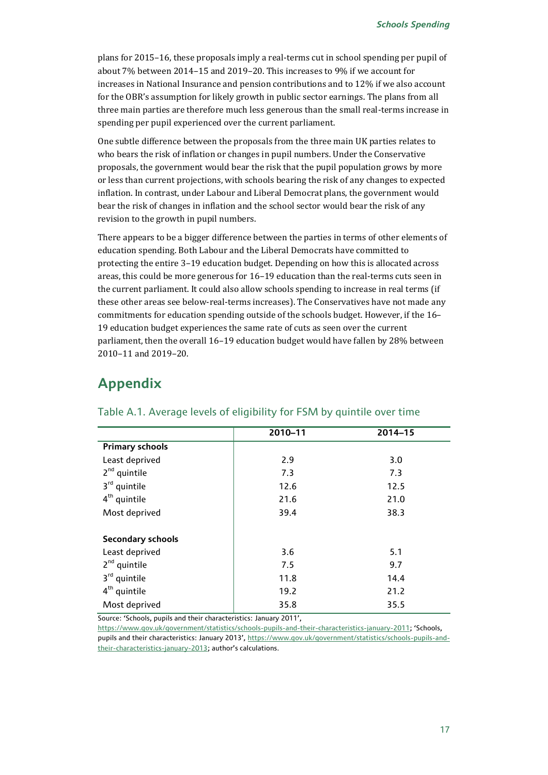plans for 2015–16, these proposals imply a real-terms cut in school spending per pupil of about 7% between 2014–15 and 2019–20. This increases to 9% if we account for increases in National Insurance and pension contributions and to 12% if we also account for the OBR's assumption for likely growth in public sector earnings. The plans from all three main parties are therefore much less generous than the small real-terms increase in spending per pupil experienced over the current parliament.

One subtle difference between the proposals from the three main UK parties relates to who bears the risk of inflation or changes in pupil numbers. Under the Conservative proposals, the government would bear the risk that the pupil population grows by more or less than current projections, with schools bearing the risk of any changes to expected inflation. In contrast, under Labour and Liberal Democrat plans, the government would bear the risk of changes in inflation and the school sector would bear the risk of any revision to the growth in pupil numbers.

There appears to be a bigger difference between the parties in terms of other elements of education spending. Both Labour and the Liberal Democrats have committed to protecting the entire 3–19 education budget. Depending on how this is allocated across areas, this could be more generous for 16–19 education than the real-terms cuts seen in the current parliament. It could also allow schools spending to increase in real terms (if these other areas see below-real-terms increases). The Conservatives have not made any commitments for education spending outside of the schools budget. However, if the 16– 19 education budget experiences the same rate of cuts as seen over the current parliament, then the overall 16–19 education budget would have fallen by 28% between 2010–11 and 2019–20.

## **Appendix**

|                          | 2010-11 | 2014-15 |
|--------------------------|---------|---------|
| <b>Primary schools</b>   |         |         |
| Least deprived           | 2.9     | 3.0     |
| $2nd$ quintile           | 7.3     | 7.3     |
| 3 <sup>rd</sup> quintile | 12.6    | 12.5    |
| $4th$ quintile           | 21.6    | 21.0    |
| Most deprived            | 39.4    | 38.3    |
|                          |         |         |
| <b>Secondary schools</b> |         |         |
| Least deprived           | 3.6     | 5.1     |
| $2nd$ quintile           | 7.5     | 9.7     |
| 3 <sup>rd</sup> quintile | 11.8    | 14.4    |
| $4th$ quintile           | 19.2    | 21.2    |
| Most deprived            | 35.8    | 35.5    |

#### Table A.1. Average levels of eligibility for FSM by quintile over time

Source: 'Schools, pupils and their characteristics: January 2011',

[https://www.gov.uk/government/statistics/schools-pupils-and-their-characteristics-january-2011;](https://www.gov.uk/government/statistics/schools-pupils-and-their-characteristics-january-2011) 'Schools, pupils and their characteristics: January 2013', [https://www.gov.uk/government/statistics/schools-pupils-and](https://www.gov.uk/government/statistics/schools-pupils-and-their-characteristics-january-2013)[their-characteristics-january-2013](https://www.gov.uk/government/statistics/schools-pupils-and-their-characteristics-january-2013); author's calculations.